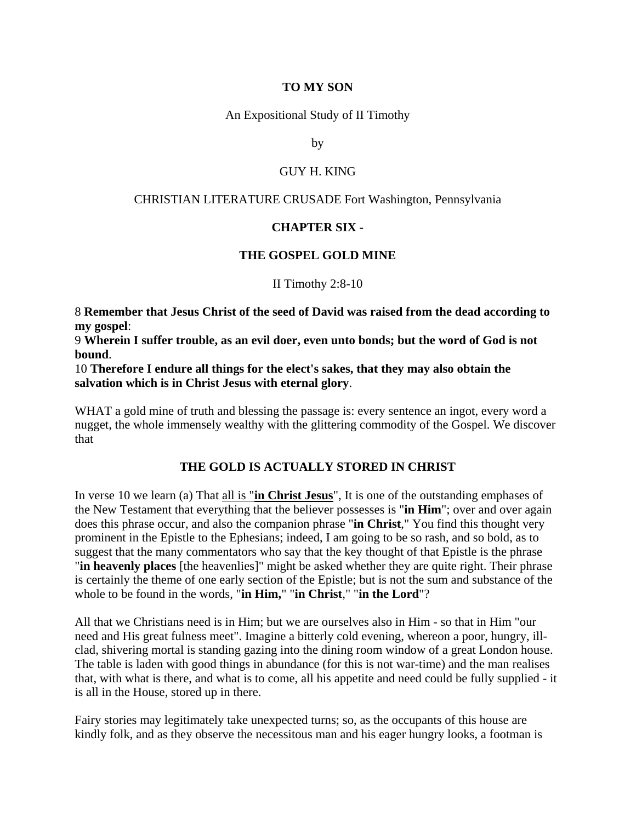### **TO MY SON**

#### An Expositional Study of II Timothy

by

### GUY H. KING

#### CHRISTIAN LITERATURE CRUSADE Fort Washington, Pennsylvania

### **CHAPTER SIX -**

#### **THE GOSPEL GOLD MINE**

II Timothy 2:8-10

8 **Remember that Jesus Christ of the seed of David was raised from the dead according to my gospel**:

9 **Wherein I suffer trouble, as an evil doer, even unto bonds; but the word of God is not bound**.

10 **Therefore I endure all things for the elect's sakes, that they may also obtain the salvation which is in Christ Jesus with eternal glory**.

WHAT a gold mine of truth and blessing the passage is: every sentence an ingot, every word a nugget, the whole immensely wealthy with the glittering commodity of the Gospel. We discover that

### **THE GOLD IS ACTUALLY STORED IN CHRIST**

In verse 10 we learn (a) That all is "**in Christ Jesus**", It is one of the outstanding emphases of the New Testament that everything that the believer possesses is "**in Him**"; over and over again does this phrase occur, and also the companion phrase "**in Christ**," You find this thought very prominent in the Epistle to the Ephesians; indeed, I am going to be so rash, and so bold, as to suggest that the many commentators who say that the key thought of that Epistle is the phrase "**in heavenly places** [the heavenlies]" might be asked whether they are quite right. Their phrase is certainly the theme of one early section of the Epistle; but is not the sum and substance of the whole to be found in the words, "**in Him,**" "**in Christ**," "**in the Lord**"?

All that we Christians need is in Him; but we are ourselves also in Him - so that in Him "our need and His great fulness meet". Imagine a bitterly cold evening, whereon a poor, hungry, illclad, shivering mortal is standing gazing into the dining room window of a great London house. The table is laden with good things in abundance (for this is not war-time) and the man realises that, with what is there, and what is to come, all his appetite and need could be fully supplied - it is all in the House, stored up in there.

Fairy stories may legitimately take unexpected turns; so, as the occupants of this house are kindly folk, and as they observe the necessitous man and his eager hungry looks, a footman is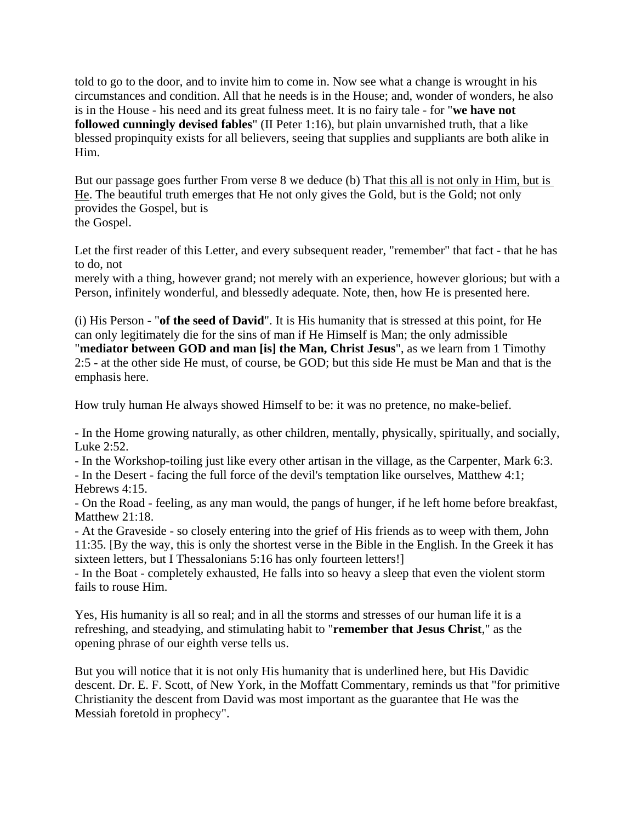told to go to the door, and to invite him to come in. Now see what a change is wrought in his circumstances and condition. All that he needs is in the House; and, wonder of wonders, he also is in the House - his need and its great fulness meet. It is no fairy tale - for "**we have not followed cunningly devised fables**" (II Peter 1:16), but plain unvarnished truth, that a like blessed propinquity exists for all believers, seeing that supplies and suppliants are both alike in Him.

But our passage goes further From verse 8 we deduce (b) That this all is not only in Him, but is He. The beautiful truth emerges that He not only gives the Gold, but is the Gold; not only provides the Gospel, but is the Gospel.

Let the first reader of this Letter, and every subsequent reader, "remember" that fact - that he has to do, not

merely with a thing, however grand; not merely with an experience, however glorious; but with a Person, infinitely wonderful, and blessedly adequate. Note, then, how He is presented here.

(i) His Person - "**of the seed of David**". It is His humanity that is stressed at this point, for He can only legitimately die for the sins of man if He Himself is Man; the only admissible "**mediator between GOD and man [is] the Man, Christ Jesus**", as we learn from 1 Timothy 2:5 - at the other side He must, of course, be GOD; but this side He must be Man and that is the emphasis here.

How truly human He always showed Himself to be: it was no pretence, no make-belief.

- In the Home growing naturally, as other children, mentally, physically, spiritually, and socially, Luke 2:52.

- In the Workshop-toiling just like every other artisan in the village, as the Carpenter, Mark 6:3.

- In the Desert - facing the full force of the devil's temptation like ourselves, Matthew 4:1; Hebrews 4:15.

- On the Road - feeling, as any man would, the pangs of hunger, if he left home before breakfast, Matthew 21:18.

- At the Graveside - so closely entering into the grief of His friends as to weep with them, John 11:35. [By the way, this is only the shortest verse in the Bible in the English. In the Greek it has sixteen letters, but I Thessalonians 5:16 has only fourteen letters!]

- In the Boat - completely exhausted, He falls into so heavy a sleep that even the violent storm fails to rouse Him.

Yes, His humanity is all so real; and in all the storms and stresses of our human life it is a refreshing, and steadying, and stimulating habit to "**remember that Jesus Christ**," as the opening phrase of our eighth verse tells us.

But you will notice that it is not only His humanity that is underlined here, but His Davidic descent. Dr. E. F. Scott, of New York, in the Moffatt Commentary, reminds us that "for primitive Christianity the descent from David was most important as the guarantee that He was the Messiah foretold in prophecy".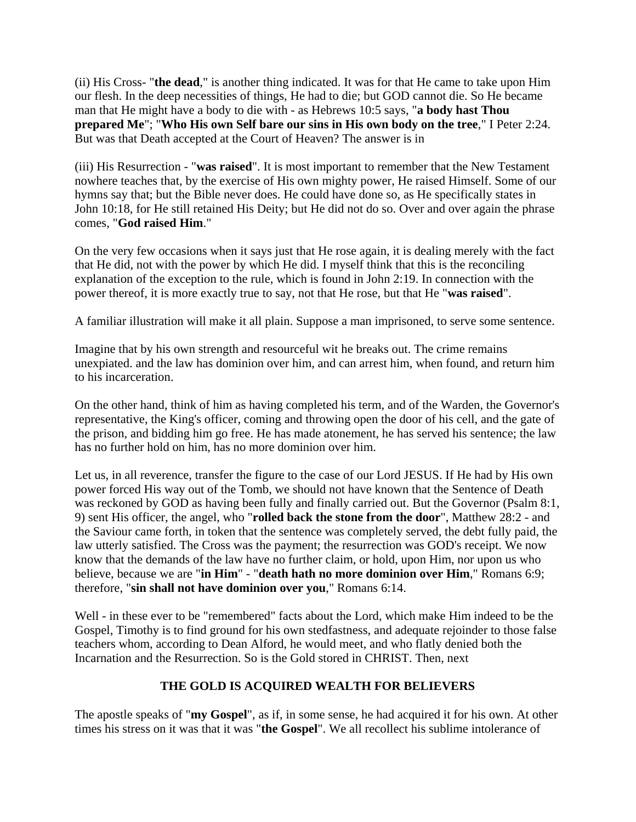(ii) His Cross- "**the dead**," is another thing indicated. It was for that He came to take upon Him our flesh. In the deep necessities of things, He had to die; but GOD cannot die. So He became man that He might have a body to die with - as Hebrews 10:5 says, "**a body hast Thou prepared Me**"; "**Who His own Self bare our sins in His own body on the tree**," I Peter 2:24. But was that Death accepted at the Court of Heaven? The answer is in

(iii) His Resurrection - "**was raised**". It is most important to remember that the New Testament nowhere teaches that, by the exercise of His own mighty power, He raised Himself. Some of our hymns say that; but the Bible never does. He could have done so, as He specifically states in John 10:18, for He still retained His Deity; but He did not do so. Over and over again the phrase comes, "**God raised Him**."

On the very few occasions when it says just that He rose again, it is dealing merely with the fact that He did, not with the power by which He did. I myself think that this is the reconciling explanation of the exception to the rule, which is found in John 2:19. In connection with the power thereof, it is more exactly true to say, not that He rose, but that He "**was raised**".

A familiar illustration will make it all plain. Suppose a man imprisoned, to serve some sentence.

Imagine that by his own strength and resourceful wit he breaks out. The crime remains unexpiated. and the law has dominion over him, and can arrest him, when found, and return him to his incarceration.

On the other hand, think of him as having completed his term, and of the Warden, the Governor's representative, the King's officer, coming and throwing open the door of his cell, and the gate of the prison, and bidding him go free. He has made atonement, he has served his sentence; the law has no further hold on him, has no more dominion over him.

Let us, in all reverence, transfer the figure to the case of our Lord JESUS. If He had by His own power forced His way out of the Tomb, we should not have known that the Sentence of Death was reckoned by GOD as having been fully and finally carried out. But the Governor (Psalm 8:1, 9) sent His officer, the angel, who "**rolled back the stone from the door**", Matthew 28:2 - and the Saviour came forth, in token that the sentence was completely served, the debt fully paid, the law utterly satisfied. The Cross was the payment; the resurrection was GOD's receipt. We now know that the demands of the law have no further claim, or hold, upon Him, nor upon us who believe, because we are "**in Him**" - "**death hath no more dominion over Him**," Romans 6:9; therefore, "**sin shall not have dominion over you**," Romans 6:14.

Well - in these ever to be "remembered" facts about the Lord, which make Him indeed to be the Gospel, Timothy is to find ground for his own stedfastness, and adequate rejoinder to those false teachers whom, according to Dean Alford, he would meet, and who flatly denied both the Incarnation and the Resurrection. So is the Gold stored in CHRIST. Then, next

# **THE GOLD IS ACQUIRED WEALTH FOR BELIEVERS**

The apostle speaks of "**my Gospel**", as if, in some sense, he had acquired it for his own. At other times his stress on it was that it was "**the Gospel**". We all recollect his sublime intolerance of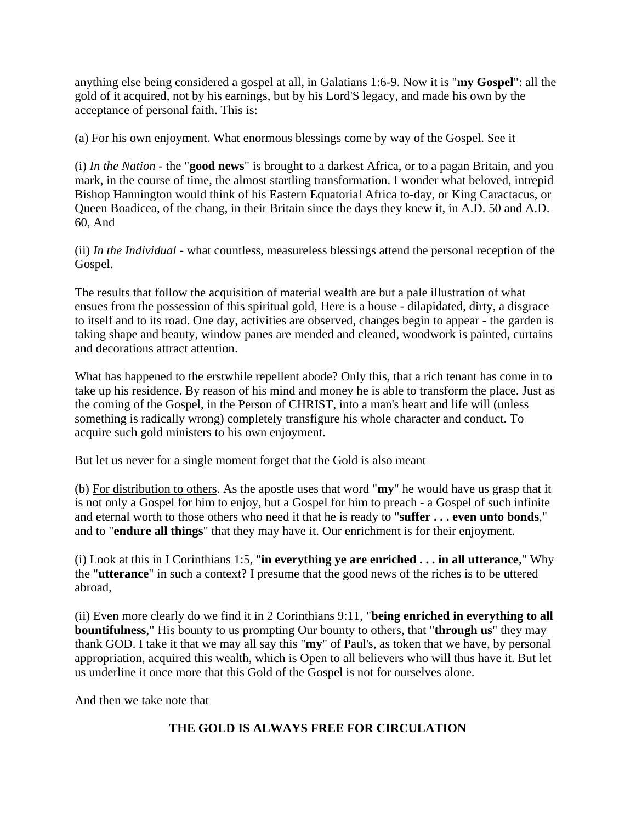anything else being considered a gospel at all, in Galatians 1:6-9. Now it is "**my Gospel**": all the gold of it acquired, not by his earnings, but by his Lord'S legacy, and made his own by the acceptance of personal faith. This is:

(a) For his own enjoyment. What enormous blessings come by way of the Gospel. See it

(i) *In the Nation* - the "**good news**" is brought to a darkest Africa, or to a pagan Britain, and you mark, in the course of time, the almost startling transformation. I wonder what beloved, intrepid Bishop Hannington would think of his Eastern Equatorial Africa to-day, or King Caractacus, or Queen Boadicea, of the chang, in their Britain since the days they knew it, in A.D. 50 and A.D. 60, And

(ii) *In the Individual* - what countless, measureless blessings attend the personal reception of the Gospel.

The results that follow the acquisition of material wealth are but a pale illustration of what ensues from the possession of this spiritual gold, Here is a house - dilapidated, dirty, a disgrace to itself and to its road. One day, activities are observed, changes begin to appear - the garden is taking shape and beauty, window panes are mended and cleaned, woodwork is painted, curtains and decorations attract attention.

What has happened to the erstwhile repellent abode? Only this, that a rich tenant has come in to take up his residence. By reason of his mind and money he is able to transform the place. Just as the coming of the Gospel, in the Person of CHRIST, into a man's heart and life will (unless something is radically wrong) completely transfigure his whole character and conduct. To acquire such gold ministers to his own enjoyment.

But let us never for a single moment forget that the Gold is also meant

(b) For distribution to others. As the apostle uses that word "**my**" he would have us grasp that it is not only a Gospel for him to enjoy, but a Gospel for him to preach - a Gospel of such infinite and eternal worth to those others who need it that he is ready to "**suffer . . . even unto bonds**," and to "**endure all things**" that they may have it. Our enrichment is for their enjoyment.

(i) Look at this in I Corinthians 1:5, "**in everything ye are enriched . . . in all utterance**," Why the "**utterance**" in such a context? I presume that the good news of the riches is to be uttered abroad,

(ii) Even more clearly do we find it in 2 Corinthians 9:11, "**being enriched in everything to all bountifulness**," His bounty to us prompting Our bounty to others, that "**through us**" they may thank GOD. I take it that we may all say this "**my**" of Paul's, as token that we have, by personal appropriation, acquired this wealth, which is Open to all believers who will thus have it. But let us underline it once more that this Gold of the Gospel is not for ourselves alone.

And then we take note that

# **THE GOLD IS ALWAYS FREE FOR CIRCULATION**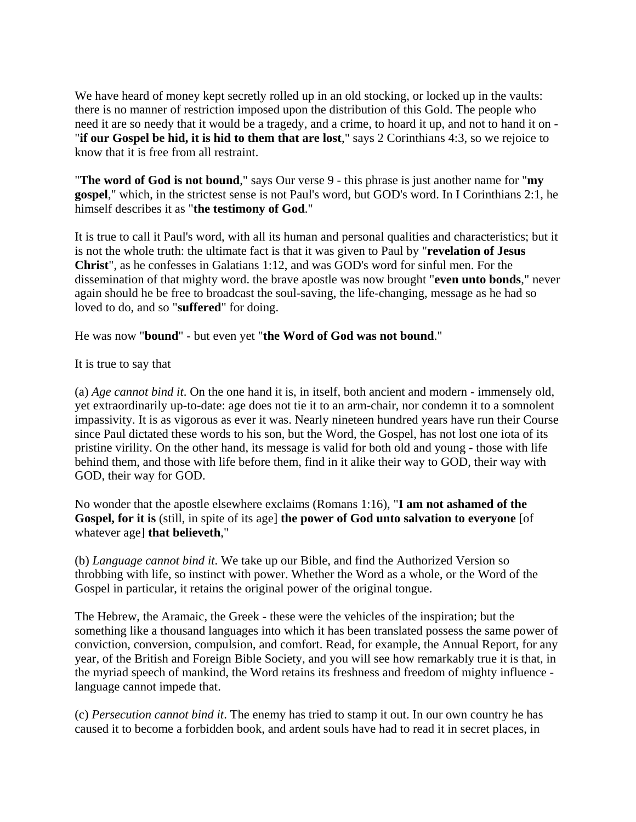We have heard of money kept secretly rolled up in an old stocking, or locked up in the vaults: there is no manner of restriction imposed upon the distribution of this Gold. The people who need it are so needy that it would be a tragedy, and a crime, to hoard it up, and not to hand it on - "**if our Gospel be hid, it is hid to them that are lost**," says 2 Corinthians 4:3, so we rejoice to know that it is free from all restraint.

"**The word of God is not bound**," says Our verse 9 - this phrase is just another name for "**my gospel**," which, in the strictest sense is not Paul's word, but GOD's word. In I Corinthians 2:1, he himself describes it as "**the testimony of God**."

It is true to call it Paul's word, with all its human and personal qualities and characteristics; but it is not the whole truth: the ultimate fact is that it was given to Paul by "**revelation of Jesus Christ**", as he confesses in Galatians 1:12, and was GOD's word for sinful men. For the dissemination of that mighty word. the brave apostle was now brought "**even unto bonds**," never again should he be free to broadcast the soul-saving, the life-changing, message as he had so loved to do, and so "**suffered**" for doing.

He was now "**bound**" - but even yet "**the Word of God was not bound**."

It is true to say that

(a) *Age cannot bind it*. On the one hand it is, in itself, both ancient and modern - immensely old, yet extraordinarily up-to-date: age does not tie it to an arm-chair, nor condemn it to a somnolent impassivity. It is as vigorous as ever it was. Nearly nineteen hundred years have run their Course since Paul dictated these words to his son, but the Word, the Gospel, has not lost one iota of its pristine virility. On the other hand, its message is valid for both old and young - those with life behind them, and those with life before them, find in it alike their way to GOD, their way with GOD, their way for GOD.

No wonder that the apostle elsewhere exclaims (Romans 1:16), "**I am not ashamed of the Gospel, for it is** (still, in spite of its age] **the power of God unto salvation to everyone** [of whatever age] **that believeth**,"

(b) *Language cannot bind it*. We take up our Bible, and find the Authorized Version so throbbing with life, so instinct with power. Whether the Word as a whole, or the Word of the Gospel in particular, it retains the original power of the original tongue.

The Hebrew, the Aramaic, the Greek - these were the vehicles of the inspiration; but the something like a thousand languages into which it has been translated possess the same power of conviction, conversion, compulsion, and comfort. Read, for example, the Annual Report, for any year, of the British and Foreign Bible Society, and you will see how remarkably true it is that, in the myriad speech of mankind, the Word retains its freshness and freedom of mighty influence language cannot impede that.

(c) *Persecution cannot bind it*. The enemy has tried to stamp it out. In our own country he has caused it to become a forbidden book, and ardent souls have had to read it in secret places, in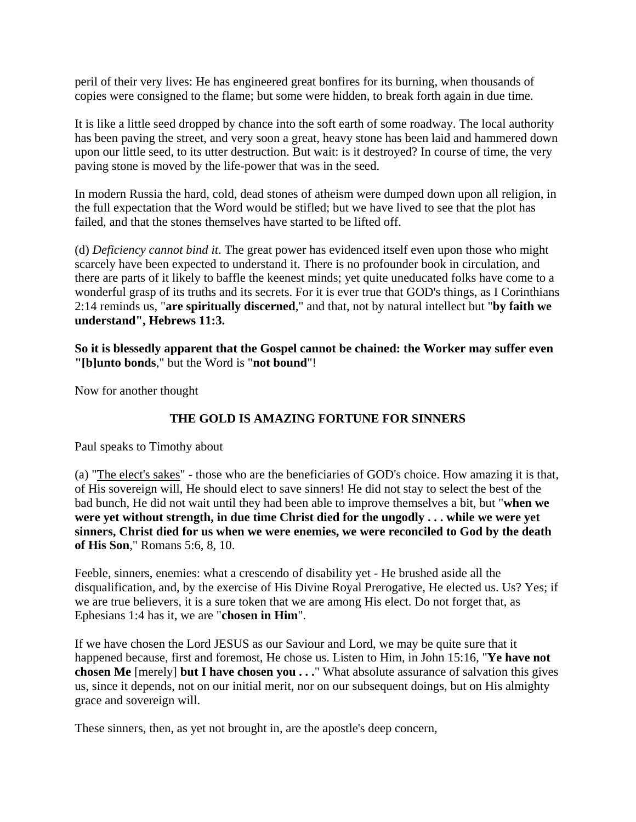peril of their very lives: He has engineered great bonfires for its burning, when thousands of copies were consigned to the flame; but some were hidden, to break forth again in due time.

It is like a little seed dropped by chance into the soft earth of some roadway. The local authority has been paving the street, and very soon a great, heavy stone has been laid and hammered down upon our little seed, to its utter destruction. But wait: is it destroyed? In course of time, the very paving stone is moved by the life-power that was in the seed.

In modern Russia the hard, cold, dead stones of atheism were dumped down upon all religion, in the full expectation that the Word would be stifled; but we have lived to see that the plot has failed, and that the stones themselves have started to be lifted off.

(d) *Deficiency cannot bind it*. The great power has evidenced itself even upon those who might scarcely have been expected to understand it. There is no profounder book in circulation, and there are parts of it likely to baffle the keenest minds; yet quite uneducated folks have come to a wonderful grasp of its truths and its secrets. For it is ever true that GOD's things, as I Corinthians 2:14 reminds us, "**are spiritually discerned**," and that, not by natural intellect but "**by faith we understand", Hebrews 11:3.**

**So it is blessedly apparent that the Gospel cannot be chained: the Worker may suffer even "[b]unto bonds**," but the Word is "**not bound**"!

Now for another thought

# **THE GOLD IS AMAZING FORTUNE FOR SINNERS**

Paul speaks to Timothy about

(a) "The elect's sakes" - those who are the beneficiaries of GOD's choice. How amazing it is that, of His sovereign will, He should elect to save sinners! He did not stay to select the best of the bad bunch, He did not wait until they had been able to improve themselves a bit, but "**when we were yet without strength, in due time Christ died for the ungodly . . . while we were yet sinners, Christ died for us when we were enemies, we were reconciled to God by the death of His Son**," Romans 5:6, 8, 10.

Feeble, sinners, enemies: what a crescendo of disability yet - He brushed aside all the disqualification, and, by the exercise of His Divine Royal Prerogative, He elected us. Us? Yes; if we are true believers, it is a sure token that we are among His elect. Do not forget that, as Ephesians 1:4 has it, we are "**chosen in Him**".

If we have chosen the Lord JESUS as our Saviour and Lord, we may be quite sure that it happened because, first and foremost, He chose us. Listen to Him, in John 15:16, "**Ye have not chosen Me** [merely] **but I have chosen you . . .**" What absolute assurance of salvation this gives us, since it depends, not on our initial merit, nor on our subsequent doings, but on His almighty grace and sovereign will.

These sinners, then, as yet not brought in, are the apostle's deep concern,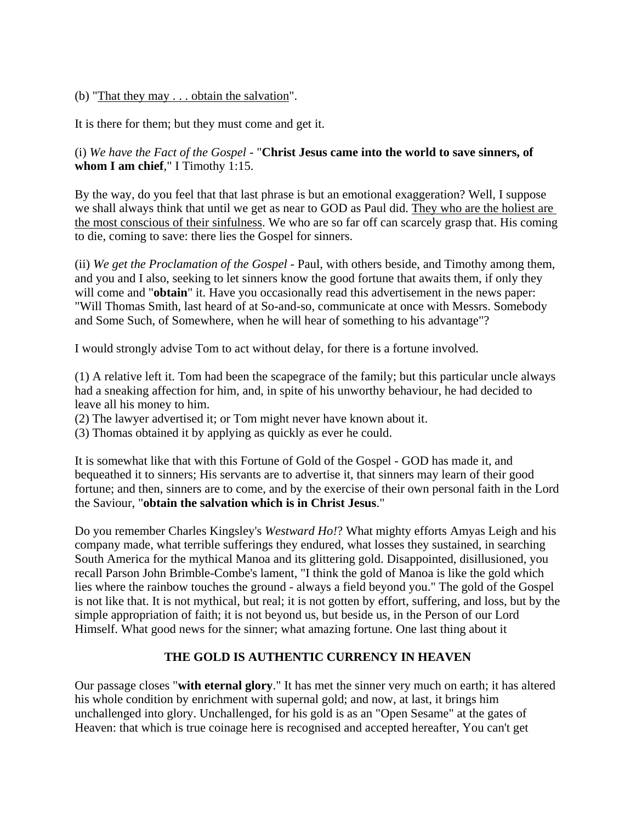(b) "That they may . . . obtain the salvation".

It is there for them; but they must come and get it.

### (i) *We have the Fact of the Gospel* - "**Christ Jesus came into the world to save sinners, of whom I am chief**," I Timothy 1:15.

By the way, do you feel that that last phrase is but an emotional exaggeration? Well, I suppose we shall always think that until we get as near to GOD as Paul did. They who are the holiest are the most conscious of their sinfulness. We who are so far off can scarcely grasp that. His coming to die, coming to save: there lies the Gospel for sinners.

(ii) *We get the Proclamation of the Gospel* - Paul, with others beside, and Timothy among them, and you and I also, seeking to let sinners know the good fortune that awaits them, if only they will come and "**obtain**" it. Have you occasionally read this advertisement in the news paper: "Will Thomas Smith, last heard of at So-and-so, communicate at once with Messrs. Somebody and Some Such, of Somewhere, when he will hear of something to his advantage"?

I would strongly advise Tom to act without delay, for there is a fortune involved.

(1) A relative left it. Tom had been the scapegrace of the family; but this particular uncle always had a sneaking affection for him, and, in spite of his unworthy behaviour, he had decided to leave all his money to him.

(2) The lawyer advertised it; or Tom might never have known about it.

(3) Thomas obtained it by applying as quickly as ever he could.

It is somewhat like that with this Fortune of Gold of the Gospel - GOD has made it, and bequeathed it to sinners; His servants are to advertise it, that sinners may learn of their good fortune; and then, sinners are to come, and by the exercise of their own personal faith in the Lord the Saviour, "**obtain the salvation which is in Christ Jesus**."

Do you remember Charles Kingsley's *Westward Ho!*? What mighty efforts Amyas Leigh and his company made, what terrible sufferings they endured, what losses they sustained, in searching South America for the mythical Manoa and its glittering gold. Disappointed, disillusioned, you recall Parson John Brimble-Combe's lament, "I think the gold of Manoa is like the gold which lies where the rainbow touches the ground - always a field beyond you." The gold of the Gospel is not like that. It is not mythical, but real; it is not gotten by effort, suffering, and loss, but by the simple appropriation of faith; it is not beyond us, but beside us, in the Person of our Lord Himself. What good news for the sinner; what amazing fortune. One last thing about it

# **THE GOLD IS AUTHENTIC CURRENCY IN HEAVEN**

Our passage closes "**with eternal glory**." It has met the sinner very much on earth; it has altered his whole condition by enrichment with supernal gold; and now, at last, it brings him unchallenged into glory. Unchallenged, for his gold is as an "Open Sesame" at the gates of Heaven: that which is true coinage here is recognised and accepted hereafter, You can't get